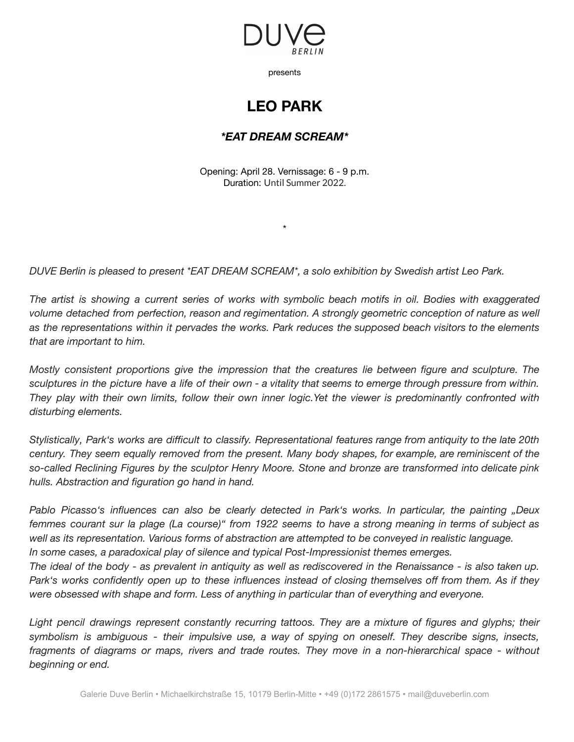

presents

## **LEO PARK**

## *\*EAT DREAM SCREAM\**

Opening: April 28. Vernissage: 6 - 9 p.m. Duration: Until Summer 2022.

\*

*DUVE Berlin is pleased to present \*EAT DREAM SCREAM\*, a solo exhibition by Swedish artist Leo Park.*

The artist is showing a current series of works with symbolic beach motifs in oil. Bodies with exaggerated *volume detached from perfection, reason and regimentation. A strongly geometric conception of nature as well* as the representations within it pervades the works. Park reduces the supposed beach visitors to the elements *that are important to him.*

*Mostly consistent proportions give the impression that the creatures lie between figure and sculpture. The* sculptures in the picture have a life of their own - a vitality that seems to emerge through pressure from within. They play with their own limits, follow their own inner logic.Yet the viewer is predominantly confronted with *disturbing elements.*

Stylistically, Park's works are difficult to classify. Representational features range from antiquity to the late 20th century. They seem equally removed from the present. Many body shapes, for example, are reminiscent of the *so-called Reclining Figures by the sculptor Henry Moore. Stone and bronze are transformed into delicate pink hulls. Abstraction and figuration go hand in hand.*

*Pablo Picasso's influences can also be clearly detected in Park's works. In particular, the painting "Deux* femmes courant sur la plage (La course)" from 1922 seems to have a strong meaning in terms of subject as *well as its representation. Various forms of abstraction are attempted to be conveyed in realistic language. In some cases, a paradoxical play of silence and typical Post-Impressionist themes emerges.*

The ideal of the body - as prevalent in antiquity as well as rediscovered in the Renaissance - is also taken up. Park's works confidently open up to these influences instead of closing themselves off from them. As if they *were obsessed with shape and form. Less of anything in particular than of everything and everyone.*

*Light pencil drawings represent constantly recurring tattoos. They are a mixture of figures and glyphs; their symbolism is ambiguous - their impulsive use, a way of spying on oneself. They describe signs, insects, fragments of diagrams or maps, rivers and trade routes. They move in a non-hierarchical space - without beginning or end.*